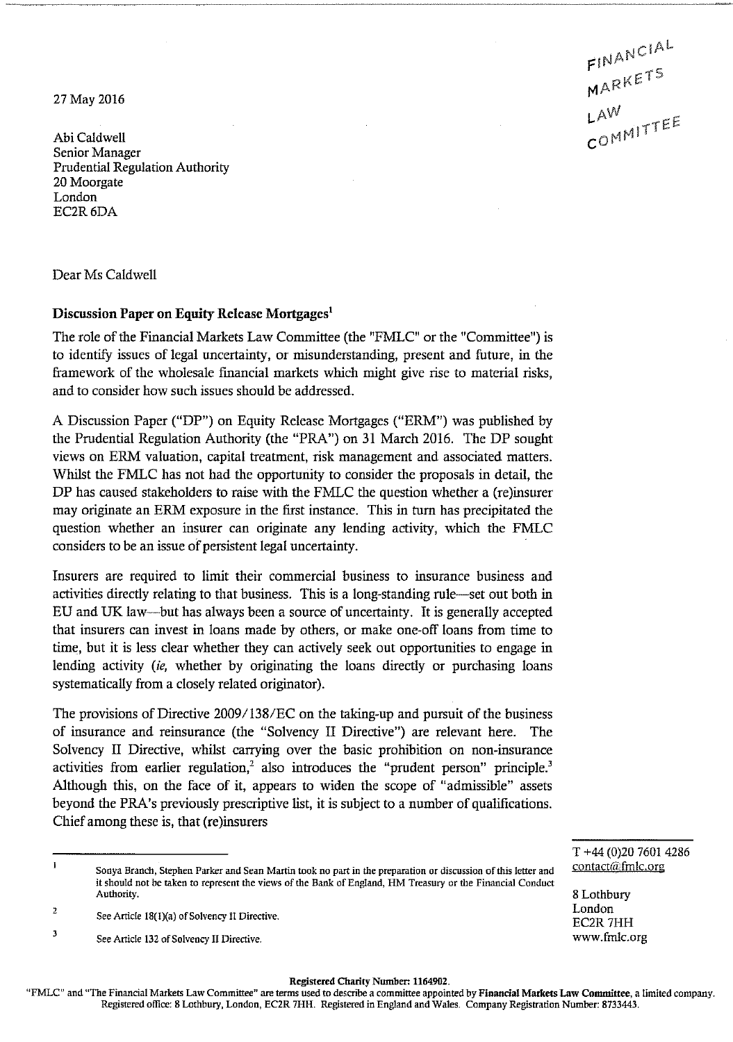27 May 2016

Abi Caldwell Senior Manager Prudential Regulation Authority 20 Moorgate London EC2R6DA

Dear Ms Caldwell

## **Discussion Paper on Equity Release Mortgages<sup>1</sup>**

The role of the Financial Markets Law Committee (the "FMLC" or the "Committee") is to identify issues of legal uncertainty, or misunderstanding, present and future, in the framework of the wholesale financial markets which might give rise to material risks, and to consider how such issues should be addressed.

A Discussion Paper ("DP") on Equity Release Mortgages ("ERM") was published by the Prudential Regulation Authority (the "PRA") on 31 March 2016. The DP sought views on ERM valuation, capital treatment, risk management and associated matters. Whilst the FMLC has not had the opportunity to consider the proposals in detail, the DP has caused stakeholders to raise with the FMLC the question whether a (re)insurer may originate an ERM exposure in the first instance. This in turn has precipitated the question whether an insurer can originate any lending activity, which the FMLC considers to be an issue of persistent legal uncertainty.

Insurers are required to limit their commercial business to insurance business and activities directly relating to that business. This is a long-standing rule—set out both in EU and UK law—but has always been a source of uncertainty. It is generally accepted that insurers can invest in loans made by others, or make one-off loans from time to time, but it is less clear whether they can actively seek out opportunities to engage in lending activity *(ie,* whether by originating the loans directly or purchasing loans systematically from a closely related originator).

The provisions of Directive 2009/138/EC on the taking~up and pursuit of the business of insurance and reinsurance (the "Solvency I I Directive") are relevant here. The Solvency II Directive, whilst carrying over the basic prohibition on non-insurance activities from earlier regulation,<sup>2</sup> also introduces the "prudent person" principle.<sup>3</sup> Although this, on the face of it, appears to widen the scope of "admissible" assets beyond the PRA's previously prescriptive list, it is subject to a number of qualifications. Chief among these is, that (re)insurers

## **Registered Charity Numben 1164902.**

'FMLC" and "The Financial Markets Law Committee" are terms used to describe a committee appointed by **Financial Markets Law Committee,** a limited company Registered office: **8** Lothbury, London, EC2R **7HH.** Registered in England and Wales. Company Registration Number: **8733443.** 

FINANCIAL MARKETS MARNT<br>LAW<br>COMMITTEE

T +44 (0)20 7601 4286 contact@fmlc.org

8 Lothbury London EC2R 7HH www.fmlc.org

 $\mathbf{I}% _{t}\left| \mathbf{I}_{t}\right| =\mathbf{I}_{t}\left| \mathbf{I}_{t}\right|$ Sonya Branch, Stephen Parker and Sean Martin took no part in the preparation or discussion of this letter and it should not be taken to represent the views of the Bank of England, HM Treasury or the Financial Conduct Authority.

 $\bar{2}$ See Article 18(1)(a) of Solvency II Directive.

 $\overline{3}$ See Article 132 of Solvency II Directive.